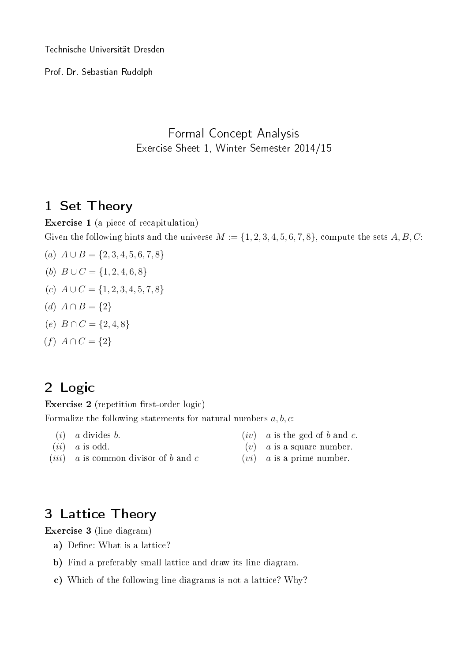Technische Universität Dresden

Prof. Dr. Sebastian Rudolph

### Formal Concept Analysis Exercise Sheet 1, Winter Semester 2014/15

## 1 Set Theory

Exercise 1 (a piece of recapitulation) Given the following hints and the universe  $M := \{1, 2, 3, 4, 5, 6, 7, 8\}$ , compute the sets  $A, B, C$ :

- (a)  $A \cup B = \{2, 3, 4, 5, 6, 7, 8\}$
- (b)  $B \cup C = \{1, 2, 4, 6, 8\}$
- (c)  $A \cup C = \{1, 2, 3, 4, 5, 7, 8\}$
- (d)  $A \cap B = \{2\}$
- (e)  $B \cap C = \{2, 4, 8\}$
- $(f) A \cap C = \{2\}$

## 2 Logic

Exercise  $2$  (repetition first-order logic)

Formalize the following statements for natural numbers  $a, b, c$ :

 $(i)$  a divides b.

 $(iv)$  a is the gcd of b and c.

 $(ii)$  a is odd.

- $(v)$  a is a square number.
- $(iii)$  a is common divisor of b and c
- $(vi)$  a is a prime number.

# 3 Lattice Theory

Exercise 3 (line diagram)

- a) Define: What is a lattice?
- b) Find a preferably small lattice and draw its line diagram.
- c) Which of the following line diagrams is not a lattice? Why?